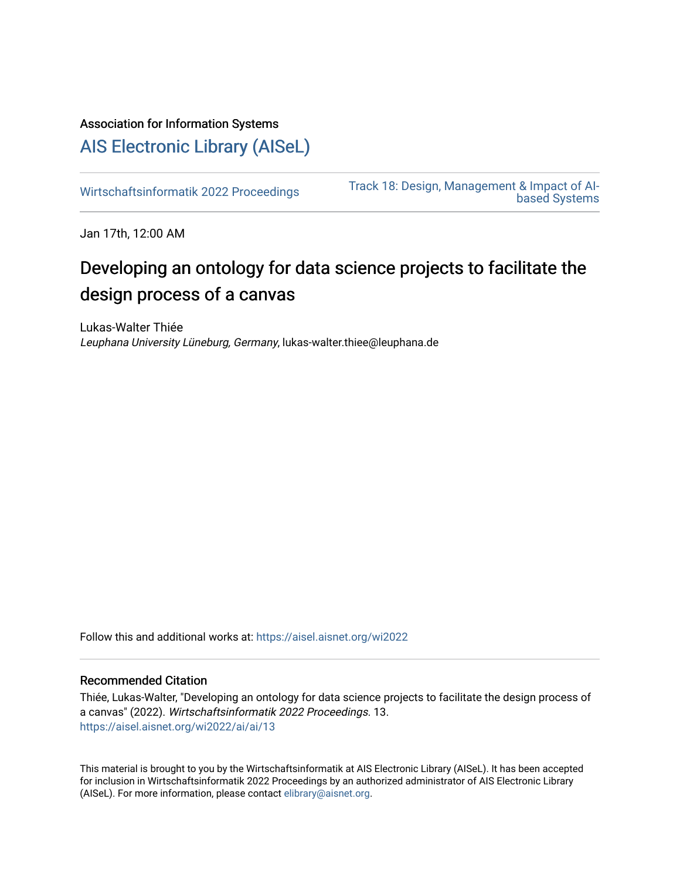### Association for Information Systems

## [AIS Electronic Library \(AISeL\)](https://aisel.aisnet.org/)

[Wirtschaftsinformatik 2022 Proceedings](https://aisel.aisnet.org/wi2022) [Track 18: Design, Management & Impact of AI](https://aisel.aisnet.org/wi2022/ai)[based Systems](https://aisel.aisnet.org/wi2022/ai) 

Jan 17th, 12:00 AM

# Developing an ontology for data science projects to facilitate the design process of a canvas

Lukas-Walter Thiée Leuphana University Lüneburg, Germany, lukas-walter.thiee@leuphana.de

Follow this and additional works at: [https://aisel.aisnet.org/wi2022](https://aisel.aisnet.org/wi2022?utm_source=aisel.aisnet.org%2Fwi2022%2Fai%2Fai%2F13&utm_medium=PDF&utm_campaign=PDFCoverPages) 

#### Recommended Citation

Thiée, Lukas-Walter, "Developing an ontology for data science projects to facilitate the design process of a canvas" (2022). Wirtschaftsinformatik 2022 Proceedings. 13. [https://aisel.aisnet.org/wi2022/ai/ai/13](https://aisel.aisnet.org/wi2022/ai/ai/13?utm_source=aisel.aisnet.org%2Fwi2022%2Fai%2Fai%2F13&utm_medium=PDF&utm_campaign=PDFCoverPages) 

This material is brought to you by the Wirtschaftsinformatik at AIS Electronic Library (AISeL). It has been accepted for inclusion in Wirtschaftsinformatik 2022 Proceedings by an authorized administrator of AIS Electronic Library (AISeL). For more information, please contact [elibrary@aisnet.org](mailto:elibrary@aisnet.org%3E).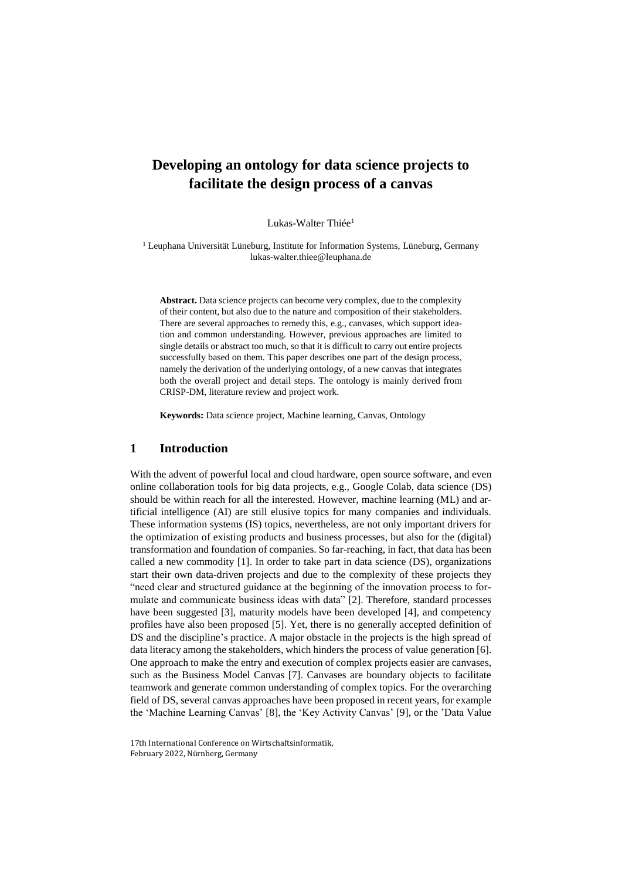## **Developing an ontology for data science projects to facilitate the design process of a canvas**

Lukas-Walter Thiée<sup>1</sup>

<sup>1</sup> Leuphana Universität Lüneburg, Institute for Information Systems, Lüneburg, Germany lukas-walter.thiee@leuphana.de

**Abstract.** Data science projects can become very complex, due to the complexity of their content, but also due to the nature and composition of their stakeholders. There are several approaches to remedy this, e.g., canvases, which support ideation and common understanding. However, previous approaches are limited to single details or abstract too much, so that it is difficult to carry out entire projects successfully based on them. This paper describes one part of the design process, namely the derivation of the underlying ontology, of a new canvas that integrates both the overall project and detail steps. The ontology is mainly derived from CRISP-DM, literature review and project work.

**Keywords:** Data science project, Machine learning, Canvas, Ontology

#### **1 Introduction**

With the advent of powerful local and cloud hardware, open source software, and even online collaboration tools for big data projects, e.g., Google Colab, data science (DS) should be within reach for all the interested. However, machine learning (ML) and artificial intelligence (AI) are still elusive topics for many companies and individuals. These information systems (IS) topics, nevertheless, are not only important drivers for the optimization of existing products and business processes, but also for the (digital) transformation and foundation of companies. So far-reaching, in fact, that data has been called a new commodity [1]. In order to take part in data science (DS), organizations start their own data-driven projects and due to the complexity of these projects they "need clear and structured guidance at the beginning of the innovation process to formulate and communicate business ideas with data" [2]. Therefore, standard processes have been suggested [3], maturity models have been developed [4], and competency profiles have also been proposed [5]. Yet, there is no generally accepted definition of DS and the discipline's practice. A major obstacle in the projects is the high spread of data literacy among the stakeholders, which hinders the process of value generation [6]. One approach to make the entry and execution of complex projects easier are canvases, such as the Business Model Canvas [7]. Canvases are boundary objects to facilitate teamwork and generate common understanding of complex topics. For the overarching field of DS, several canvas approaches have been proposed in recent years, for example the 'Machine Learning Canvas' [8], the 'Key Activity Canvas' [9], or the 'Data Value

17th International Conference on Wirtschaftsinformatik, February 2022, Nürnberg, Germany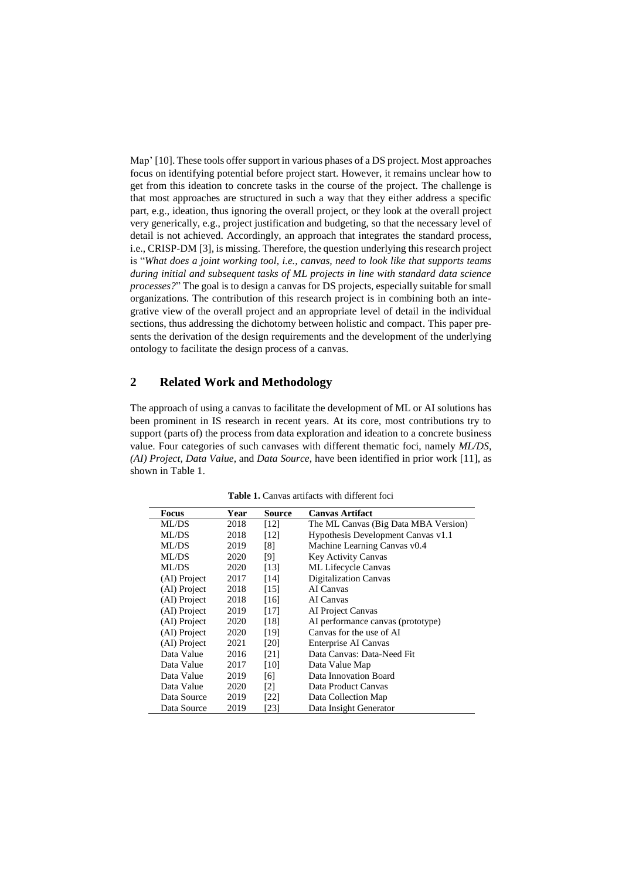Map' [10]. These tools offer support in various phases of a DS project. Most approaches focus on identifying potential before project start. However, it remains unclear how to get from this ideation to concrete tasks in the course of the project. The challenge is that most approaches are structured in such a way that they either address a specific part, e.g., ideation, thus ignoring the overall project, or they look at the overall project very generically, e.g., project justification and budgeting, so that the necessary level of detail is not achieved. Accordingly, an approach that integrates the standard process, i.e., CRISP-DM [3], is missing. Therefore, the question underlying this research project is "*What does a joint working tool, i.e., canvas, need to look like that supports teams during initial and subsequent tasks of ML projects in line with standard data science processes?*" The goal is to design a canvas for DS projects, especially suitable for small organizations. The contribution of this research project is in combining both an integrative view of the overall project and an appropriate level of detail in the individual sections, thus addressing the dichotomy between holistic and compact. This paper presents the derivation of the design requirements and the development of the underlying ontology to facilitate the design process of a canvas.

#### **2 Related Work and Methodology**

The approach of using a canvas to facilitate the development of ML or AI solutions has been prominent in IS research in recent years. At its core, most contributions try to support (parts of) the process from data exploration and ideation to a concrete business value. Four categories of such canvases with different thematic foci, namely *ML/DS*, *(AI) Project*, *Data Value*, and *Data Source*, have been identified in prior work [11], as shown in Table 1.

| Focus        | Year | Source            | <b>Canvas Artifact</b>               |
|--------------|------|-------------------|--------------------------------------|
| ML/DS        | 2018 | [12]              | The ML Canvas (Big Data MBA Version) |
| ML/DS        | 2018 | [12]              | Hypothesis Development Canvas v1.1   |
| ML/DS        | 2019 | [8]               | Machine Learning Canvas v0.4         |
| ML/DS        | 2020 | [9]               | <b>Key Activity Canvas</b>           |
| ML/DS        | 2020 | [13]              | <b>ML</b> Lifecycle Canvas           |
| (AI) Project | 2017 | [14]              | <b>Digitalization Canvas</b>         |
| (AI) Project | 2018 | [15]              | AI Canvas                            |
| (AI) Project | 2018 | [16]              | AI Canvas                            |
| (AI) Project | 2019 | [17]              | AI Project Canvas                    |
| (AI) Project | 2020 | [18]              | AI performance canvas (prototype)    |
| (AI) Project | 2020 | [19]              | Canvas for the use of AI             |
| (AI) Project | 2021 | [20]              | Enterprise AI Canvas                 |
| Data Value   | 2016 | [21]              | Data Canvas: Data-Need Fit           |
| Data Value   | 2017 | [10]              | Data Value Map                       |
| Data Value   | 2019 | [6]               | Data Innovation Board                |
| Data Value   | 2020 | $\lceil 2 \rceil$ | Data Product Canvas                  |
| Data Source  | 2019 | [22]              | Data Collection Map                  |
| Data Source  | 2019 | [23]              | Data Insight Generator               |

**Table 1.** Canvas artifacts with different foci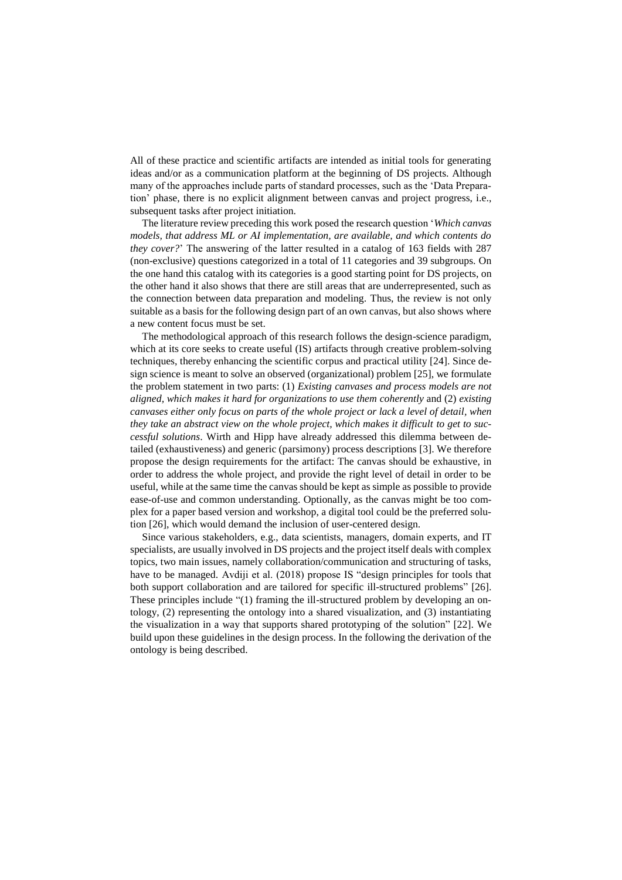All of these practice and scientific artifacts are intended as initial tools for generating ideas and/or as a communication platform at the beginning of DS projects. Although many of the approaches include parts of standard processes, such as the 'Data Preparation' phase, there is no explicit alignment between canvas and project progress, i.e., subsequent tasks after project initiation.

The literature review preceding this work posed the research question '*Which canvas models, that address ML or AI implementation, are available, and which contents do they cover?*' The answering of the latter resulted in a catalog of 163 fields with 287 (non-exclusive) questions categorized in a total of 11 categories and 39 subgroups. On the one hand this catalog with its categories is a good starting point for DS projects, on the other hand it also shows that there are still areas that are underrepresented, such as the connection between data preparation and modeling. Thus, the review is not only suitable as a basis for the following design part of an own canvas, but also shows where a new content focus must be set.

The methodological approach of this research follows the design-science paradigm, which at its core seeks to create useful (IS) artifacts through creative problem-solving techniques, thereby enhancing the scientific corpus and practical utility [24]. Since design science is meant to solve an observed (organizational) problem [25], we formulate the problem statement in two parts: (1) *Existing canvases and process models are not aligned, which makes it hard for organizations to use them coherently* and (2) *existing canvases either only focus on parts of the whole project or lack a level of detail, when they take an abstract view on the whole project, which makes it difficult to get to successful solutions*. Wirth and Hipp have already addressed this dilemma between detailed (exhaustiveness) and generic (parsimony) process descriptions [3]. We therefore propose the design requirements for the artifact: The canvas should be exhaustive, in order to address the whole project, and provide the right level of detail in order to be useful, while at the same time the canvas should be kept as simple as possible to provide ease-of-use and common understanding. Optionally, as the canvas might be too complex for a paper based version and workshop, a digital tool could be the preferred solution [26], which would demand the inclusion of user-centered design.

Since various stakeholders, e.g., data scientists, managers, domain experts, and IT specialists, are usually involved in DS projects and the project itself deals with complex topics, two main issues, namely collaboration/communication and structuring of tasks, have to be managed. Avdiji et al. (2018) propose IS "design principles for tools that both support collaboration and are tailored for specific ill-structured problems" [26]. These principles include "(1) framing the ill-structured problem by developing an ontology, (2) representing the ontology into a shared visualization, and (3) instantiating the visualization in a way that supports shared prototyping of the solution" [22]. We build upon these guidelines in the design process. In the following the derivation of the ontology is being described.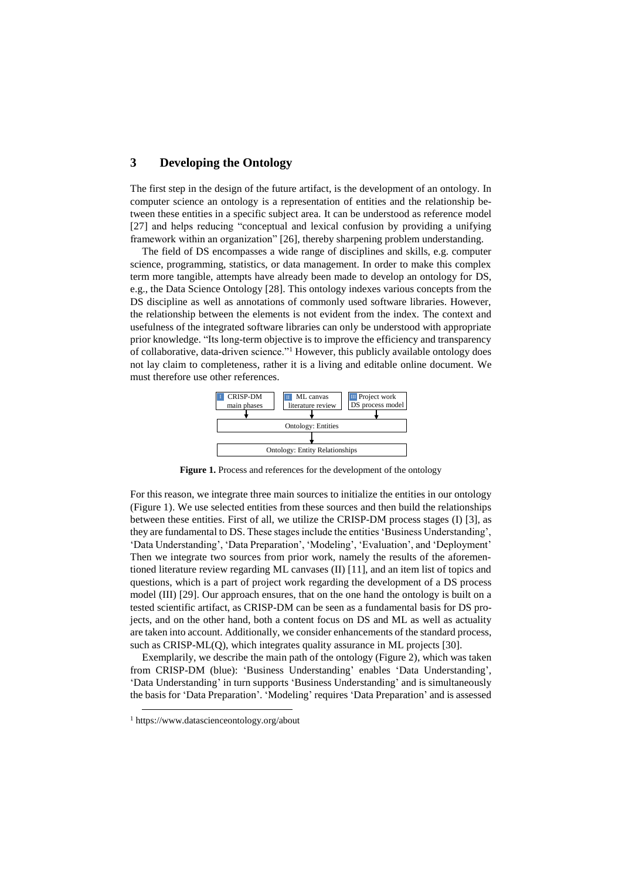#### **3 Developing the Ontology**

The first step in the design of the future artifact, is the development of an ontology. In computer science an ontology is a representation of entities and the relationship between these entities in a specific subject area. It can be understood as reference model [27] and helps reducing "conceptual and lexical confusion by providing a unifying framework within an organization" [26], thereby sharpening problem understanding.

The field of DS encompasses a wide range of disciplines and skills, e.g. computer science, programming, statistics, or data management. In order to make this complex term more tangible, attempts have already been made to develop an ontology for DS, e.g., the Data Science Ontology [28]. This ontology indexes various concepts from the DS discipline as well as annotations of commonly used software libraries. However, the relationship between the elements is not evident from the index. The context and usefulness of the integrated software libraries can only be understood with appropriate prior knowledge. "Its long-term objective is to improve the efficiency and transparency of collaborative, data-driven science."<sup>1</sup> However, this publicly available ontology does not lay claim to completeness, rather it is a living and editable online document. We must therefore use other references.



**Figure 1.** Process and references for the development of the ontology

For this reason, we integrate three main sources to initialize the entities in our ontology (Figure 1). We use selected entities from these sources and then build the relationships between these entities. First of all, we utilize the CRISP-DM process stages (I) [3], as they are fundamental to DS. These stages include the entities 'Business Understanding', 'Data Understanding', 'Data Preparation', 'Modeling', 'Evaluation', and 'Deployment' Then we integrate two sources from prior work, namely the results of the aforementioned literature review regarding ML canvases (II) [11], and an item list of topics and questions, which is a part of project work regarding the development of a DS process model (III) [29]. Our approach ensures, that on the one hand the ontology is built on a tested scientific artifact, as CRISP-DM can be seen as a fundamental basis for DS projects, and on the other hand, both a content focus on DS and ML as well as actuality are taken into account. Additionally, we consider enhancements of the standard process, such as CRISP-ML(Q), which integrates quality assurance in ML projects [30].

Exemplarily, we describe the main path of the ontology (Figure 2), which was taken from CRISP-DM (blue): 'Business Understanding' enables 'Data Understanding', 'Data Understanding' in turn supports 'Business Understanding' and is simultaneously the basis for 'Data Preparation'. 'Modeling' requires 'Data Preparation' and is assessed

-

<sup>1</sup> https://www.datascienceontology.org/about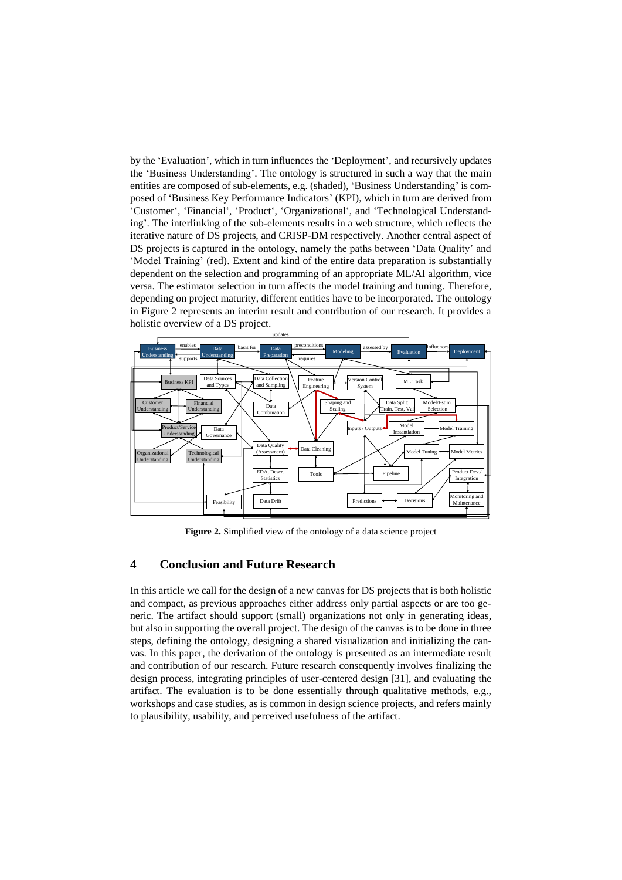by the 'Evaluation', which in turn influences the 'Deployment', and recursively updates the 'Business Understanding'. The ontology is structured in such a way that the main entities are composed of sub-elements, e.g. (shaded), 'Business Understanding' is composed of 'Business Key Performance Indicators' (KPI), which in turn are derived from 'Customer', 'Financial', 'Product', 'Organizational', and 'Technological Understanding'. The interlinking of the sub-elements results in a web structure, which reflects the iterative nature of DS projects, and CRISP-DM respectively. Another central aspect of DS projects is captured in the ontology, namely the paths between 'Data Quality' and 'Model Training' (red). Extent and kind of the entire data preparation is substantially dependent on the selection and programming of an appropriate ML/AI algorithm, vice versa. The estimator selection in turn affects the model training and tuning. Therefore, depending on project maturity, different entities have to be incorporated. The ontology in Figure 2 represents an interim result and contribution of our research. It provides a holistic overview of a DS project.



**Figure 2.** Simplified view of the ontology of a data science project

#### **4 Conclusion and Future Research**

In this article we call for the design of a new canvas for DS projects that is both holistic and compact, as previous approaches either address only partial aspects or are too generic. The artifact should support (small) organizations not only in generating ideas, but also in supporting the overall project. The design of the canvas is to be done in three steps, defining the ontology, designing a shared visualization and initializing the canvas. In this paper, the derivation of the ontology is presented as an intermediate result and contribution of our research. Future research consequently involves finalizing the design process, integrating principles of user-centered design [31], and evaluating the artifact. The evaluation is to be done essentially through qualitative methods, e.g., workshops and case studies, as is common in design science projects, and refers mainly to plausibility, usability, and perceived usefulness of the artifact.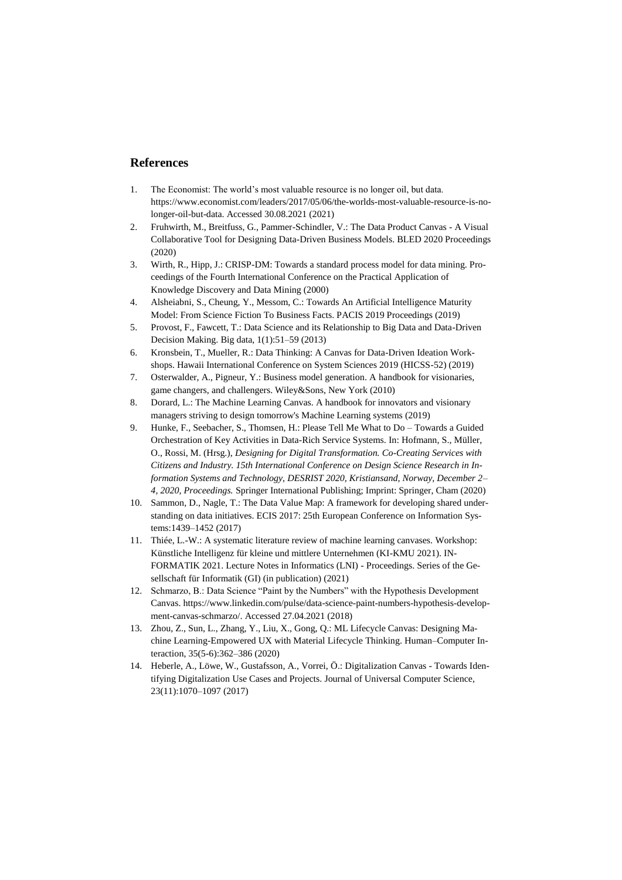#### **References**

- 1. The Economist: The world's most valuable resource is no longer oil, but data. https://www.economist.com/leaders/2017/05/06/the-worlds-most-valuable-resource-is-nolonger-oil-but-data. Accessed 30.08.2021 (2021)
- 2. Fruhwirth, M., Breitfuss, G., Pammer-Schindler, V.: The Data Product Canvas A Visual Collaborative Tool for Designing Data-Driven Business Models. BLED 2020 Proceedings (2020)
- 3. Wirth, R., Hipp, J.: CRISP-DM: Towards a standard process model for data mining. Proceedings of the Fourth International Conference on the Practical Application of Knowledge Discovery and Data Mining (2000)
- 4. Alsheiabni, S., Cheung, Y., Messom, C.: Towards An Artificial Intelligence Maturity Model: From Science Fiction To Business Facts. PACIS 2019 Proceedings (2019)
- 5. Provost, F., Fawcett, T.: Data Science and its Relationship to Big Data and Data-Driven Decision Making. Big data, 1(1):51–59 (2013)
- 6. Kronsbein, T., Mueller, R.: Data Thinking: A Canvas for Data-Driven Ideation Workshops. Hawaii International Conference on System Sciences 2019 (HICSS-52) (2019)
- 7. Osterwalder, A., Pigneur, Y.: Business model generation. A handbook for visionaries, game changers, and challengers. Wiley&Sons, New York (2010)
- 8. Dorard, L.: The Machine Learning Canvas. A handbook for innovators and visionary managers striving to design tomorrow's Machine Learning systems (2019)
- 9. Hunke, F., Seebacher, S., Thomsen, H.: Please Tell Me What to Do Towards a Guided Orchestration of Key Activities in Data-Rich Service Systems. In: Hofmann, S., Müller, O., Rossi, M. (Hrsg.), *Designing for Digital Transformation. Co-Creating Services with Citizens and Industry. 15th International Conference on Design Science Research in Information Systems and Technology, DESRIST 2020, Kristiansand, Norway, December 2– 4, 2020, Proceedings.* Springer International Publishing; Imprint: Springer, Cham (2020)
- 10. Sammon, D., Nagle, T.: The Data Value Map: A framework for developing shared understanding on data initiatives. ECIS 2017: 25th European Conference on Information Systems:1439–1452 (2017)
- 11. Thiée, L.-W.: A systematic literature review of machine learning canvases. Workshop: Künstliche Intelligenz für kleine und mittlere Unternehmen (KI-KMU 2021). IN-FORMATIK 2021. Lecture Notes in Informatics (LNI) - Proceedings. Series of the Gesellschaft für Informatik (GI) (in publication) (2021)
- 12. Schmarzo, B.: Data Science "Paint by the Numbers" with the Hypothesis Development Canvas. https://www.linkedin.com/pulse/data-science-paint-numbers-hypothesis-development-canvas-schmarzo/. Accessed 27.04.2021 (2018)
- 13. Zhou, Z., Sun, L., Zhang, Y., Liu, X., Gong, Q.: ML Lifecycle Canvas: Designing Machine Learning-Empowered UX with Material Lifecycle Thinking. Human–Computer Interaction, 35(5-6):362–386 (2020)
- 14. Heberle, A., Löwe, W., Gustafsson, A., Vorrei, Ö.: Digitalization Canvas Towards Identifying Digitalization Use Cases and Projects. Journal of Universal Computer Science, 23(11):1070–1097 (2017)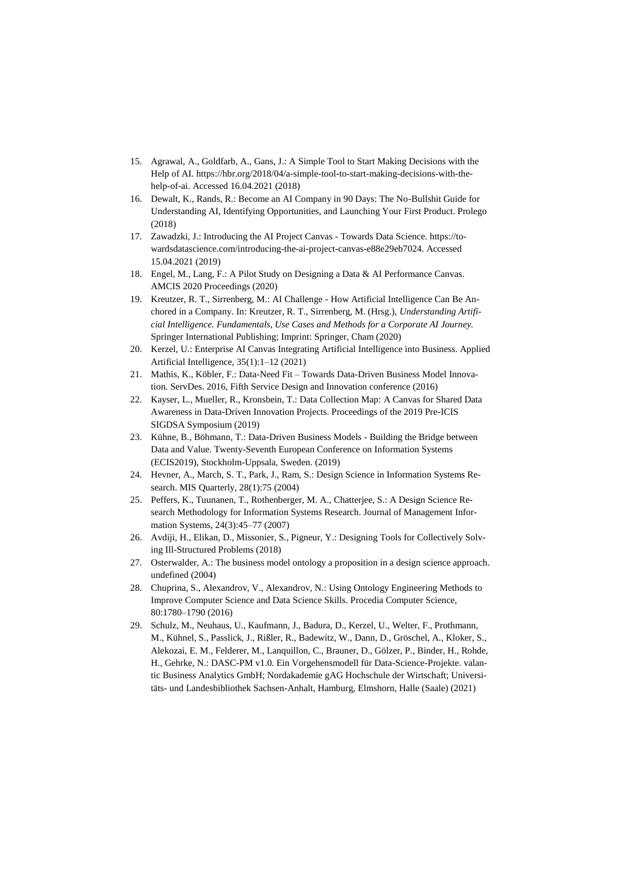- 15. Agrawal, A., Goldfarb, A., Gans, J.: A Simple Tool to Start Making Decisions with the Help of AI. https://hbr.org/2018/04/a-simple-tool-to-start-making-decisions-with-thehelp-of-ai. Accessed 16.04.2021 (2018)
- 16. Dewalt, K., Rands, R.: Become an AI Company in 90 Days: The No-Bullshit Guide for Understanding AI, Identifying Opportunities, and Launching Your First Product. Prolego (2018)
- 17. Zawadzki, J.: Introducing the AI Project Canvas Towards Data Science. https://towardsdatascience.com/introducing-the-ai-project-canvas-e88e29eb7024. Accessed 15.04.2021 (2019)
- 18. Engel, M., Lang, F.: A Pilot Study on Designing a Data & AI Performance Canvas. AMCIS 2020 Proceedings (2020)
- 19. Kreutzer, R. T., Sirrenberg, M.: AI Challenge How Artificial Intelligence Can Be Anchored in a Company. In: Kreutzer, R. T., Sirrenberg, M. (Hrsg.), *Understanding Artificial Intelligence. Fundamentals, Use Cases and Methods for a Corporate AI Journey.*  Springer International Publishing; Imprint: Springer, Cham (2020)
- 20. Kerzel, U.: Enterprise AI Canvas Integrating Artificial Intelligence into Business. Applied Artificial Intelligence, 35(1):1–12 (2021)
- 21. Mathis, K., Köbler, F.: Data-Need Fit Towards Data-Driven Business Model Innovation. ServDes. 2016, Fifth Service Design and Innovation conference (2016)
- 22. Kayser, L., Mueller, R., Kronsbein, T.: Data Collection Map: A Canvas for Shared Data Awareness in Data-Driven Innovation Projects. Proceedings of the 2019 Pre-ICIS SIGDSA Symposium (2019)
- 23. Kühne, B., Böhmann, T.: Data-Driven Business Models Building the Bridge between Data and Value. Twenty-Seventh European Conference on Information Systems (ECIS2019), Stockholm-Uppsala, Sweden. (2019)
- 24. Hevner, A., March, S. T., Park, J., Ram, S.: Design Science in Information Systems Research. MIS Quarterly, 28(1):75 (2004)
- 25. Peffers, K., Tuunanen, T., Rothenberger, M. A., Chatterjee, S.: A Design Science Research Methodology for Information Systems Research. Journal of Management Information Systems, 24(3):45–77 (2007)
- 26. Avdiji, H., Elikan, D., Missonier, S., Pigneur, Y.: Designing Tools for Collectively Solving Ill-Structured Problems (2018)
- 27. Osterwalder, A.: The business model ontology a proposition in a design science approach. undefined (2004)
- 28. Chuprina, S., Alexandrov, V., Alexandrov, N.: Using Ontology Engineering Methods to Improve Computer Science and Data Science Skills. Procedia Computer Science, 80:1780–1790 (2016)
- 29. Schulz, M., Neuhaus, U., Kaufmann, J., Badura, D., Kerzel, U., Welter, F., Prothmann, M., Kühnel, S., Passlick, J., Rißler, R., Badewitz, W., Dann, D., Gröschel, A., Kloker, S., Alekozai, E. M., Felderer, M., Lanquillon, C., Brauner, D., Gölzer, P., Binder, H., Rohde, H., Gehrke, N.: DASC-PM v1.0. Ein Vorgehensmodell für Data-Science-Projekte. valantic Business Analytics GmbH; Nordakademie gAG Hochschule der Wirtschaft; Universitäts- und Landesbibliothek Sachsen-Anhalt, Hamburg, Elmshorn, Halle (Saale) (2021)